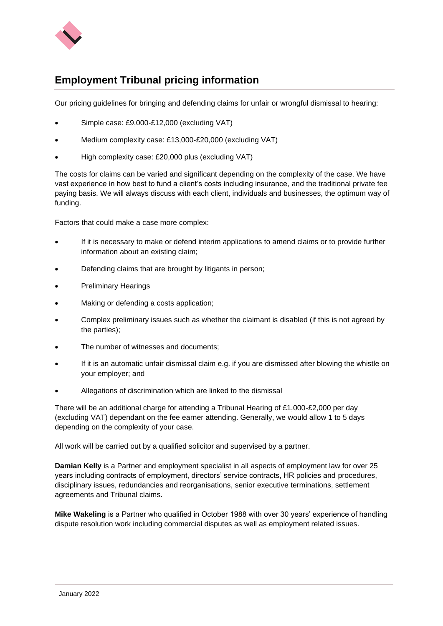

## **Employment Tribunal pricing information**

Our pricing guidelines for bringing and defending claims for unfair or wrongful dismissal to hearing:

- Simple case: £9,000-£12,000 (excluding VAT)
- Medium complexity case: £13,000-£20,000 (excluding VAT)
- High complexity case: £20,000 plus (excluding VAT)

The costs for claims can be varied and significant depending on the complexity of the case. We have vast experience in how best to fund a client's costs including insurance, and the traditional private fee paying basis. We will always discuss with each client, individuals and businesses, the optimum way of funding.

Factors that could make a case more complex:

- If it is necessary to make or defend interim applications to amend claims or to provide further information about an existing claim;
- Defending claims that are brought by litigants in person;
- Preliminary Hearings
- Making or defending a costs application;
- Complex preliminary issues such as whether the claimant is disabled (if this is not agreed by the parties);
- The number of witnesses and documents:
- If it is an automatic unfair dismissal claim e.g. if you are dismissed after blowing the whistle on your employer; and
- Allegations of discrimination which are linked to the dismissal

There will be an additional charge for attending a Tribunal Hearing of £1,000-£2,000 per day (excluding VAT) dependant on the fee earner attending. Generally, we would allow 1 to 5 days depending on the complexity of your case.

All work will be carried out by a qualified solicitor and supervised by a partner.

**Damian Kelly** is a Partner and employment specialist in all aspects of employment law for over 25 years including contracts of employment, directors' service contracts, HR policies and procedures, disciplinary issues, redundancies and reorganisations, senior executive terminations, settlement agreements and Tribunal claims.

**Mike Wakeling** is a Partner who qualified in October 1988 with over 30 years' experience of handling dispute resolution work including commercial disputes as well as employment related issues.